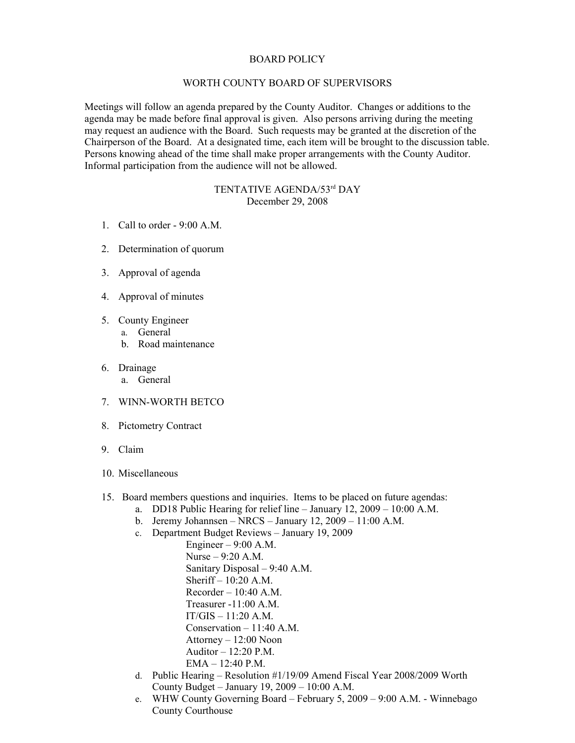## BOARD POLICY

## WORTH COUNTY BOARD OF SUPERVISORS

Meetings will follow an agenda prepared by the County Auditor. Changes or additions to the agenda may be made before final approval is given. Also persons arriving during the meeting may request an audience with the Board. Such requests may be granted at the discretion of the Chairperson of the Board. At a designated time, each item will be brought to the discussion table. Persons knowing ahead of the time shall make proper arrangements with the County Auditor. Informal participation from the audience will not be allowed.

## TENTATIVE AGENDA/53rd DAY December 29, 2008

- 1. Call to order 9:00 A.M.
- 2. Determination of quorum
- 3. Approval of agenda
- 4. Approval of minutes
- 5. County Engineer
	- a. General
	- b. Road maintenance
- 6. Drainage
	- a. General
- 7. WINN-WORTH BETCO
- 8. Pictometry Contract
- 9. Claim
- 10. Miscellaneous
- 15. Board members questions and inquiries. Items to be placed on future agendas:
	- a. DD18 Public Hearing for relief line January 12, 2009 10:00 A.M.
	- b. Jeremy Johannsen NRCS January 12, 2009 11:00 A.M.
	- c. Department Budget Reviews January 19, 2009

Engineer  $-9:00$  A.M. Nurse – 9:20 A.M. Sanitary Disposal – 9:40 A.M. Sheriff – 10:20 A.M.  $Recorder - 10:40 A.M.$ Treasurer -11:00 A.M.  $IT/GIS - 11:20 A.M.$ Conservation – 11:40 A.M. Attorney – 12:00 Noon Auditor – 12:20 P.M. EMA – 12:40 P.M.

- d. Public Hearing Resolution #1/19/09 Amend Fiscal Year 2008/2009 Worth County Budget – January 19, 2009 – 10:00 A.M.
- e. WHW County Governing Board February 5, 2009 9:00 A.M. Winnebago County Courthouse